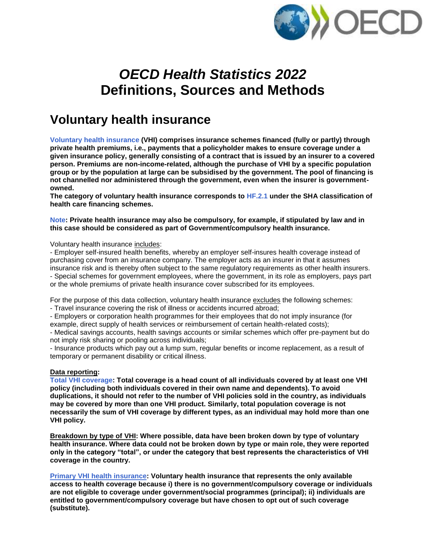

# *OECD Health Statistics 2022* **Definitions, Sources and Methods**

# **Voluntary health insurance**

**Voluntary health insurance (VHI) comprises insurance schemes financed (fully or partly) through private health premiums, i.e., payments that a policyholder makes to ensure coverage under a given insurance policy, generally consisting of a contract that is issued by an insurer to a covered person. Premiums are non-income-related, although the purchase of VHI by a specific population group or by the population at large can be subsidised by the government. The pool of financing is not channelled nor administered through the government, even when the insurer is governmentowned.**

**The category of voluntary health insurance corresponds to HF.2.1 under the SHA classification of health care financing schemes.**

**Note: Private health insurance may also be compulsory, for example, if stipulated by law and in this case should be considered as part of Government/compulsory health insurance.**

Voluntary health insurance includes:

- Employer self-insured health benefits, whereby an employer self-insures health coverage instead of purchasing cover from an insurance company. The employer acts as an insurer in that it assumes insurance risk and is thereby often subject to the same regulatory requirements as other health insurers. - Special schemes for government employees, where the government, in its role as employers, pays part or the whole premiums of private health insurance cover subscribed for its employees.

For the purpose of this data collection, voluntary health insurance excludes the following schemes: - Travel insurance covering the risk of illness or accidents incurred abroad;

- Employers or corporation health programmes for their employees that do not imply insurance (for example, direct supply of health services or reimbursement of certain health-related costs);

- Medical savings accounts, health savings accounts or similar schemes which offer pre-payment but do not imply risk sharing or pooling across individuals;

- Insurance products which pay out a lump sum, regular benefits or income replacement, as a result of temporary or permanent disability or critical illness.

# **Data reporting:**

**Total VHI coverage: Total coverage is a head count of all individuals covered by at least one VHI policy (including both individuals covered in their own name and dependents). To avoid duplications, it should not refer to the number of VHI policies sold in the country, as individuals may be covered by more than one VHI product. Similarly, total population coverage is not necessarily the sum of VHI coverage by different types, as an individual may hold more than one VHI policy.** 

**Breakdown by type of VHI: Where possible, data have been broken down by type of voluntary health insurance. Where data could not be broken down by type or main role, they were reported only in the category "total", or under the category that best represents the characteristics of VHI coverage in the country.** 

**Primary VHI health insurance: Voluntary health insurance that represents the only available access to health coverage because i) there is no government/compulsory coverage or individuals are not eligible to coverage under government/social programmes (principal); ii) individuals are entitled to government/compulsory coverage but have chosen to opt out of such coverage (substitute).**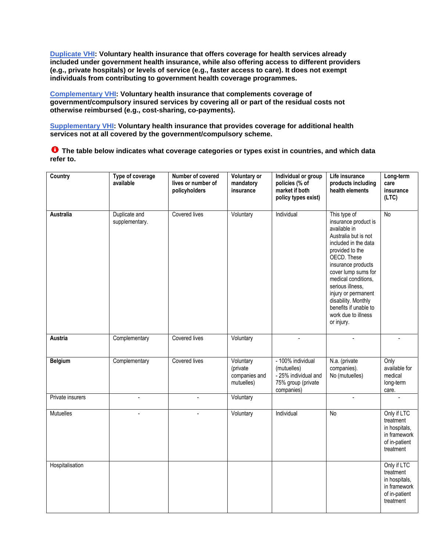**Duplicate VHI: Voluntary health insurance that offers coverage for health services already included under government health insurance, while also offering access to different providers (e.g., private hospitals) or levels of service (e.g., faster access to care). It does not exempt individuals from contributing to government health coverage programmes.**

**Complementary VHI: Voluntary health insurance that complements coverage of government/compulsory insured services by covering all or part of the residual costs not otherwise reimbursed (e.g., cost-sharing, co-payments).** 

**Supplementary VHI: Voluntary health insurance that provides coverage for additional health services not at all covered by the government/compulsory scheme.**

**The table below indicates what coverage categories or types exist in countries, and which data refer to.**

| Country          | Type of coverage<br>available   | Number of covered<br>lives or number of<br>policyholders | <b>Voluntary or</b><br>mandatory<br>insurance        | Individual or group<br>policies (% of<br>market if both<br>policy types exist)               | Life insurance<br>products including<br>health elements                                                                                                                                                                                                                                                                                    | Long-term<br>care<br>insurance<br>(LTC)                                                 |
|------------------|---------------------------------|----------------------------------------------------------|------------------------------------------------------|----------------------------------------------------------------------------------------------|--------------------------------------------------------------------------------------------------------------------------------------------------------------------------------------------------------------------------------------------------------------------------------------------------------------------------------------------|-----------------------------------------------------------------------------------------|
| Australia        | Duplicate and<br>supplementary. | Covered lives                                            | Voluntary                                            | Individual                                                                                   | This type of<br>insurance product is<br>available in<br>Australia but is not<br>included in the data<br>provided to the<br>OECD. These<br>insurance products<br>cover lump sums for<br>medical conditions,<br>serious illness,<br>injury or permanent<br>disability. Monthly<br>benefits if unable to<br>work due to illness<br>or injury. | $\overline{N}$                                                                          |
| Austria          | Complementary                   | Covered lives                                            | Voluntary                                            |                                                                                              |                                                                                                                                                                                                                                                                                                                                            |                                                                                         |
| <b>Belgium</b>   | Complementary                   | Covered lives                                            | Voluntary<br>(private<br>companies and<br>mutuelles) | - 100% individual<br>(mutuelles)<br>- 25% individual and<br>75% group (private<br>companies) | N.a. (private<br>companies).<br>No (mutuelles)                                                                                                                                                                                                                                                                                             | Only<br>available for<br>medical<br>long-term<br>care.                                  |
| Private insurers | $\overline{a}$                  |                                                          | Voluntary                                            |                                                                                              |                                                                                                                                                                                                                                                                                                                                            |                                                                                         |
| Mutuelles        |                                 |                                                          | Voluntary                                            | Individual                                                                                   | $\overline{N}$                                                                                                                                                                                                                                                                                                                             | Only if LTC<br>treatment<br>in hospitals,<br>in framework<br>of in-patient<br>treatment |
| Hospitalisation  |                                 |                                                          |                                                      |                                                                                              |                                                                                                                                                                                                                                                                                                                                            | Only if LTC<br>treatment<br>in hospitals,<br>in framework<br>of in-patient<br>treatment |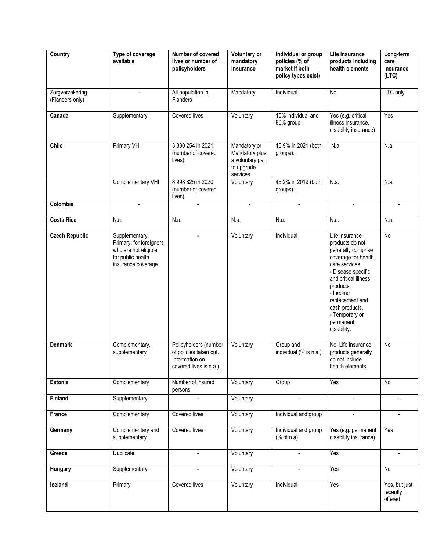| Country                            | Type of coverage<br>available                                                                                 | Number of covered<br>lives or number of<br>policyholders                                     | Voluntary or<br>mandatory<br>insurance                                        | Individual or group<br>policies (% of<br>market if both<br>policy types exist) | Life insurance<br>products including<br>health elements                                                                                                                                                                                                    | Long-term<br>care<br>insurance<br>(LTC) |
|------------------------------------|---------------------------------------------------------------------------------------------------------------|----------------------------------------------------------------------------------------------|-------------------------------------------------------------------------------|--------------------------------------------------------------------------------|------------------------------------------------------------------------------------------------------------------------------------------------------------------------------------------------------------------------------------------------------------|-----------------------------------------|
| Zorgverzekering<br>(Flanders only) | $\blacksquare$                                                                                                | All population in<br>Flanders                                                                | Mandatory                                                                     | Individual                                                                     | No                                                                                                                                                                                                                                                         | LTC only                                |
| Canada                             | Supplementary                                                                                                 | Covered lives                                                                                | Voluntary                                                                     | 10% individual and<br>90% group                                                | Yes (e.g, critical<br>illness insurance,<br>disability insurance)                                                                                                                                                                                          | Yes                                     |
| <b>Chile</b>                       | <b>Primary VHI</b>                                                                                            | 3 330 254 in 2021<br>(number of covered<br>lives).                                           | Mandatory or<br>Mandatory plus<br>a voluntary part<br>to upgrade<br>services. | 16.9% in 2021 (both<br>groups).                                                | N.a.                                                                                                                                                                                                                                                       | N.a.                                    |
|                                    | Complementary VHI                                                                                             | 8 998 825 in 2020<br>(number of covered<br>lives).                                           | Voluntary                                                                     | 46.2% in 2019 (both<br>groups).                                                | N.a.                                                                                                                                                                                                                                                       | N.a.                                    |
| Colombia                           | $\overline{a}$                                                                                                | $\sim$                                                                                       | $\blacksquare$                                                                | $\overline{a}$                                                                 | $\overline{a}$                                                                                                                                                                                                                                             |                                         |
| <b>Costa Rica</b>                  | N.a.                                                                                                          | N.a.                                                                                         | N.a.                                                                          | N.a.                                                                           | N.a.                                                                                                                                                                                                                                                       | N.a.                                    |
| <b>Czech Republic</b>              | Supplementary.<br>Primary: for foreigners<br>who are not eligible<br>for public health<br>insurance coverage. | $\overline{a}$                                                                               | Voluntary                                                                     | Individual                                                                     | Life insurance<br>products do not<br>generally comprise<br>coverage for health<br>care services.<br>- Disease specific<br>and critical illness<br>products,<br>- Income<br>replacement and<br>cash products,<br>- Temporary or<br>permanent<br>disability. | No                                      |
| <b>Denmark</b>                     | Complementary,<br>supplementary                                                                               | Policyholders (number<br>of policies taken out.<br>Information on<br>covered lives is n.a.). | Voluntary                                                                     | Group and<br>individual (% is n.a.)                                            | No. Life insurance<br>products generally<br>do not include<br>health elements.                                                                                                                                                                             | No                                      |
| Estonia                            | Complementary                                                                                                 | Number of insured<br>persons                                                                 | Voluntary                                                                     | Group                                                                          | Yes                                                                                                                                                                                                                                                        | No                                      |
| Finland                            | Supplementary                                                                                                 |                                                                                              | Voluntary                                                                     |                                                                                |                                                                                                                                                                                                                                                            |                                         |
| France                             | Complementary                                                                                                 | Covered lives                                                                                | Voluntary                                                                     | Individual and group                                                           | $\blacksquare$                                                                                                                                                                                                                                             |                                         |
| Germany                            | Complementary and<br>supplementary                                                                            | Covered lives                                                                                | Voluntary                                                                     | Individual and group<br>% of n.a)                                              | Yes (e.g. permanent<br>disability insurance)                                                                                                                                                                                                               | Yes                                     |
| Greece                             | Duplicate                                                                                                     |                                                                                              | Voluntary                                                                     |                                                                                | Yes                                                                                                                                                                                                                                                        |                                         |
| Hungary                            | Supplementary                                                                                                 | $\overline{a}$                                                                               | Voluntary                                                                     | $\overline{a}$                                                                 | Yes                                                                                                                                                                                                                                                        | No                                      |
| Iceland                            | Primary                                                                                                       | Covered lives                                                                                | Voluntary                                                                     | Individual                                                                     | Yes                                                                                                                                                                                                                                                        | Yes, but just<br>recently<br>offered    |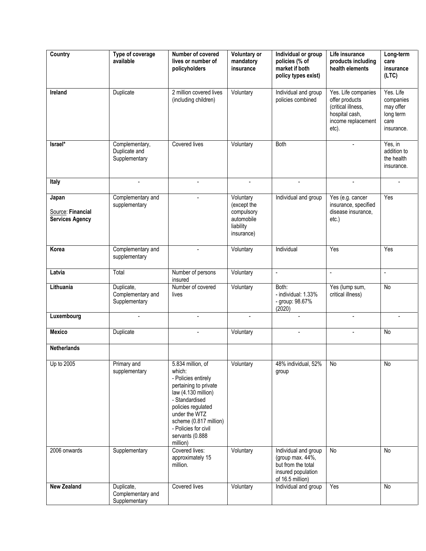| Country                                              | Type of coverage<br>available                    | Number of covered<br>lives or number of<br>policyholders                                                                                                                                                                                     | Voluntary or<br>mandatory<br>insurance                                          | Individual or group<br>policies (% of<br>market if both<br>policy types exist)                           | Life insurance<br>products including<br>health elements                                                      | Long-term<br>care<br>insurance<br>(LTC)                                |
|------------------------------------------------------|--------------------------------------------------|----------------------------------------------------------------------------------------------------------------------------------------------------------------------------------------------------------------------------------------------|---------------------------------------------------------------------------------|----------------------------------------------------------------------------------------------------------|--------------------------------------------------------------------------------------------------------------|------------------------------------------------------------------------|
| Ireland                                              | Duplicate                                        | 2 million covered lives<br>(including children)                                                                                                                                                                                              | Voluntary                                                                       | Individual and group<br>policies combined                                                                | Yes. Life companies<br>offer products<br>(critical illness,<br>hospital cash,<br>income replacement<br>etc). | Yes. Life<br>companies<br>may offer<br>long term<br>care<br>insurance. |
| $Israel*$                                            | Complementary,<br>Duplicate and<br>Supplementary | Covered lives                                                                                                                                                                                                                                | Voluntary                                                                       | Both                                                                                                     |                                                                                                              | Yes, in<br>addition to<br>the health<br>insurance.                     |
| Italy                                                |                                                  |                                                                                                                                                                                                                                              |                                                                                 |                                                                                                          |                                                                                                              |                                                                        |
| Japan<br>Source: Financial<br><b>Services Agency</b> | Complementary and<br>supplementary               | $\sim$                                                                                                                                                                                                                                       | Voluntary<br>(except the<br>compulsory<br>automobile<br>liability<br>insurance) | Individual and group                                                                                     | Yes (e.g. cancer<br>insurance, specified<br>disease insurance,<br>etc.)                                      | Yes                                                                    |
| Korea                                                | Complementary and<br>supplementary               |                                                                                                                                                                                                                                              | Voluntary                                                                       | Individual                                                                                               | Yes                                                                                                          | $\overline{Y}$ es                                                      |
| Latvia                                               | Total                                            | Number of persons<br>insured                                                                                                                                                                                                                 | Voluntary                                                                       | $\Box$                                                                                                   | ÷.                                                                                                           | $\overline{\phantom{a}}$                                               |
| Lithuania                                            | Duplicate,<br>Complementary and<br>Supplementary | Number of covered<br>lives                                                                                                                                                                                                                   | Voluntary                                                                       | Both:<br>- individual: 1.33%<br>- group: 98.67%<br>(2020)                                                | Yes (lump sum,<br>critical illness)                                                                          | No                                                                     |
| Luxembourg                                           |                                                  |                                                                                                                                                                                                                                              |                                                                                 | $\blacksquare$                                                                                           |                                                                                                              |                                                                        |
| <b>Mexico</b>                                        | Duplicate                                        |                                                                                                                                                                                                                                              | Voluntary                                                                       |                                                                                                          |                                                                                                              | No                                                                     |
| <b>Netherlands</b>                                   |                                                  |                                                                                                                                                                                                                                              |                                                                                 |                                                                                                          |                                                                                                              |                                                                        |
| Up to 2005                                           | Primary and<br>supplementary                     | 5.834 million, of<br>which:<br>- Policies entirely<br>pertaining to private<br>law (4.130 million)<br>- Standardised<br>policies regulated<br>under the WTZ<br>scheme (0.817 million)<br>- Policies for civil<br>servants (0.888<br>million) | Voluntary                                                                       | 48% individual, 52%<br>group                                                                             | No                                                                                                           | No                                                                     |
| 2006 onwards                                         | Supplementary                                    | Covered lives:<br>approximately 15<br>million.                                                                                                                                                                                               | Voluntary                                                                       | Individual and group<br>(group max. 44%,<br>but from the total<br>insured population<br>of 16.5 million) | No                                                                                                           | No                                                                     |
| <b>New Zealand</b>                                   | Duplicate,<br>Complementary and<br>Supplementary | Covered lives                                                                                                                                                                                                                                | Voluntary                                                                       | Individual and group                                                                                     | Yes                                                                                                          | No                                                                     |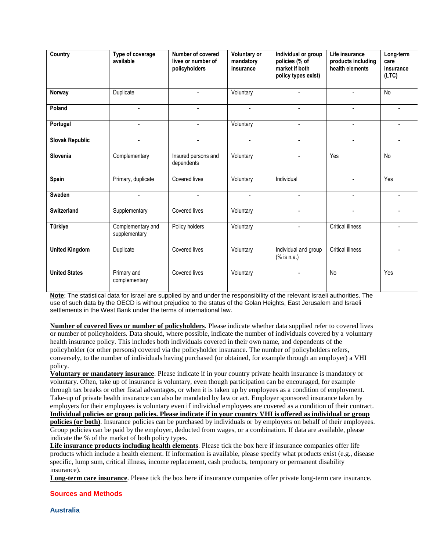| Country                | Type of coverage<br>available      | Number of covered<br>lives or number of<br>policyholders | <b>Voluntary or</b><br>mandatory<br>insurance | Individual or group<br>policies (% of<br>market if both<br>policy types exist) | Life insurance<br>products including<br>health elements | Long-term<br>care<br>insurance<br>(LTC) |
|------------------------|------------------------------------|----------------------------------------------------------|-----------------------------------------------|--------------------------------------------------------------------------------|---------------------------------------------------------|-----------------------------------------|
| Norway                 | Duplicate                          |                                                          | Voluntary                                     |                                                                                |                                                         | <b>No</b>                               |
| Poland                 | $\mathbf{r}$                       | $\sim$                                                   | $\overline{\phantom{0}}$                      | $\overline{a}$                                                                 |                                                         |                                         |
| Portugal               | $\sim$                             | $\sim$                                                   | Voluntary                                     | $\sim$                                                                         | $\overline{a}$                                          | $\blacksquare$                          |
| <b>Slovak Republic</b> | $\overline{\phantom{a}}$           | $\overline{\phantom{a}}$                                 | $\blacksquare$                                | $\blacksquare$                                                                 |                                                         | ÷.                                      |
| Slovenia               | Complementary                      | Insured persons and<br>dependents                        | Voluntary                                     | $\mathbf{r}$                                                                   | Yes                                                     | No                                      |
| Spain                  | Primary, duplicate                 | Covered lives                                            | Voluntary                                     | Individual                                                                     |                                                         | Yes                                     |
| <b>Sweden</b>          | $\blacksquare$                     | $\overline{a}$                                           | $\mathbf{r}$                                  | $\mathbf{r}$                                                                   |                                                         | $\blacksquare$                          |
| <b>Switzerland</b>     | Supplementary                      | Covered lives                                            | Voluntary                                     | $\mathbf{r}$                                                                   |                                                         | $\blacksquare$                          |
| Türkiye                | Complementary and<br>supplementary | Policy holders                                           | Voluntary                                     | $\overline{a}$                                                                 | <b>Critical illness</b>                                 | $\overline{a}$                          |
| <b>United Kingdom</b>  | Duplicate                          | Covered lives                                            | Voluntary                                     | Individual and group<br>$(% \mathcal{L}_{0})$ is n.a.)                         | Critical illness                                        | $\blacksquare$                          |
| <b>United States</b>   | Primary and<br>complementary       | Covered lives                                            | Voluntary                                     |                                                                                | No                                                      | Yes                                     |

**Note**: The statistical data for Israel are supplied by and under the responsibility of the relevant Israeli authorities. The use of such data by the OECD is without prejudice to the status of the Golan Heights, East Jerusalem and Israeli settlements in the West Bank under the terms of international law.

**Number of covered lives or number of policyholders**. Please indicate whether data supplied refer to covered lives or number of policyholders. Data should, where possible, indicate the number of individuals covered by a voluntary health insurance policy. This includes both individuals covered in their own name, and dependents of the policyholder (or other persons) covered via the policyholder insurance. The number of policyholders refers, conversely, to the number of individuals having purchased (or obtained, for example through an employer) a VHI policy.

**Voluntary or mandatory insurance**. Please indicate if in your country private health insurance is mandatory or voluntary. Often, take up of insurance is voluntary, even though participation can be encouraged, for example through tax breaks or other fiscal advantages, or when it is taken up by employees as a condition of employment. Take-up of private health insurance can also be mandated by law or act. Employer sponsored insurance taken by employers for their employees is voluntary even if individual employees are covered as a condition of their contract. **Individual policies or group policies. Please indicate if in your country VHI is offered as individual or group policies (or both)**. Insurance policies can be purchased by individuals or by employers on behalf of their employees. Group policies can be paid by the employer, deducted from wages, or a combination. If data are available, please indicate the % of the market of both policy types.

**Life insurance products including health elements**. Please tick the box here if insurance companies offer life products which include a health element. If information is available, please specify what products exist (e.g., disease specific, lump sum, critical illness, income replacement, cash products, temporary or permanent disability insurance).

**Long-term care insurance**. Please tick the box here if insurance companies offer private long-term care insurance.

# **Sources and Methods**

**Australia**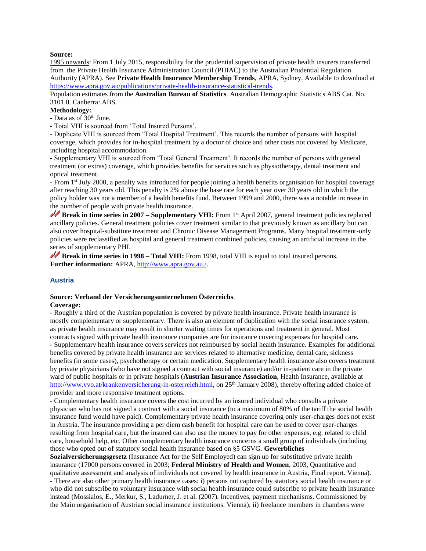# **Source:**

1995 onwards: From 1 July 2015, responsibility for the prudential supervision of private health insurers transferred from the Private Health Insurance Administration Council (PHIAC) to the Australian Prudential Regulation Authority (APRA). See **Private Health Insurance Membership Trends**, APRA, Sydney. Available to download at [https://www.apra.gov.au/publications/private-health-insurance-statistical-trends.](https://www.apra.gov.au/publications/private-health-insurance-statistical-trends)

Population estimates from the **Australian Bureau of Statistics**. Australian Demographic Statistics ABS Cat. No. 3101.0. Canberra: ABS.

#### **Methodology:**

- Data as of 30<sup>th</sup> June.

- Total VHI is sourced from 'Total Insured Persons'.

- Duplicate VHI is sourced from 'Total Hospital Treatment'. This records the number of persons with hospital coverage, which provides for in-hospital treatment by a doctor of choice and other costs not covered by Medicare, including hospital accommodation.

- Supplementary VHI is sourced from 'Total General Treatment'. It records the number of persons with general treatment (or extras) coverage, which provides benefits for services such as physiotherapy, dental treatment and optical treatment.

- From 1st July 2000, a penalty was introduced for people joining a health benefits organisation for hospital coverage after reaching 30 years old. This penalty is 2% above the base rate for each year over 30 years old in which the policy holder was not a member of a health benefits fund. Between 1999 and 2000, there was a notable increase in the number of people with private health insurance.

**Break in time series in 2007 – Supplementary VHI:** From 1<sup>st</sup> April 2007, general treatment policies replaced ancillary policies. General treatment policies cover treatment similar to that previously known as ancillary but can also cover hospital-substitute treatment and Chronic Disease Management Programs. Many hospital treatment-only policies were reclassified as hospital and general treatment combined policies, causing an artificial increase in the series of supplementary PHI.

**Break in time series in 1998 – Total VHI:** From 1998, total VHI is equal to total insured persons. **Further information:** APRA, [http://www.apra.gov.au./.](http://www.apra.gov.au./)

#### **Austria**

# **Source: Verband der Versicherungsunternehmen Österreichs**.

#### **Coverage:**

- Roughly a third of the Austrian population is covered by private health insurance. Private health insurance is mostly complementary or supplementary. There is also an element of duplication with the social insurance system, as private health insurance may result in shorter waiting times for operations and treatment in general. Most contracts signed with private health insurance companies are for insurance covering expenses for hospital care. - Supplementary health insurance covers services not reimbursed by social health insurance. Examples for additional benefits covered by private health insurance are services related to alternative medicine, dental care, sickness benefits (in some cases), psychotherapy or certain medication. Supplementary health insurance also covers treatment by private physicians (who have not signed a contract with social insurance) and/or in-patient care in the private ward of public hospitals or in private hospitals (**Austrian Insurance Association**, Health Insurance, available at [http://www.vvo.at/krankenversicherung-in-osterreich.html,](http://www.vvo.at/krankenversicherung-in-osterreich.html) on 25<sup>th</sup> January 2008), thereby offering added choice of provider and more responsive treatment options.

- Complementary health insurance covers the cost incurred by an insured individual who consults a private physician who has not signed a contract with a social insurance (to a maximum of 80% of the tariff the social health insurance fund would have paid). Complementary private health insurance covering only user-charges does not exist in Austria. The insurance providing a per diem cash benefit for hospital care can be used to cover user-charges resulting from hospital care, but the insured can also use the money to pay for other expenses, e.g. related to child care, household help, etc. Other complementary health insurance concerns a small group of individuals (including those who opted out of statutory social health insurance based on §5 GSVG. **Gewerbliches**

**Sozialversicherungsgesetz** (Insurance Act for the Self Employed) can sign up for substitutive private health insurance (17000 persons covered in 2003; **Federal Ministry of Health and Women**, 2003, Quantitative and qualitative assessment and analysis of individuals not covered by health insurance in Austria, Final report. Vienna). - There are also other primary health insurance cases: i) persons not captured by statutory social health insurance or who did not subscribe to voluntary insurance with social health insurance could subscribe to private health insurance instead (Mossialos, E., Merkur, S., Ladurner, J. et al. (2007). Incentives, payment mechanisms. Commissioned by the Main organisation of Austrian social insurance institutions. Vienna); ii) freelance members in chambers were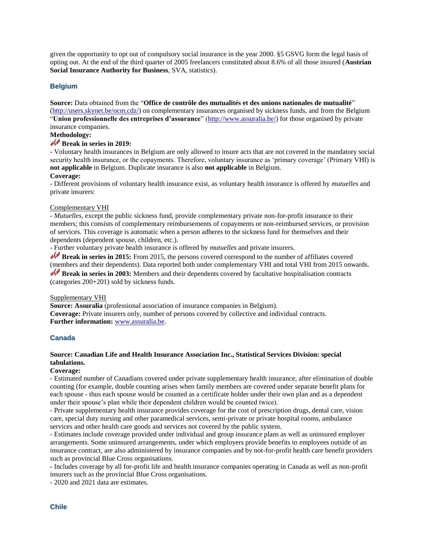given the opportunity to opt out of compulsory social insurance in the year 2000. §5 GSVG form the legal basis of opting out. At the end of the third quarter of 2005 freelancers constituted about 8.6% of all those insured (**Austrian Social Insurance Authority for Business**, SVA, statistics).

# **Belgium**

# **Source:** Data obtained from the "**Office de contrôle des mutualités et des unions nationales de mutualité**"

[\(http://users.skynet.be/ocm.cdz/\)](http://users.skynet.be/ocm.cdz/) on complementary insurances organised by sickness funds, and from the Belgium "**Union professionnelle des entreprises d'assurance**" [\(http://www.assuralia.be/\)](http://www.assuralia.be/) for those organised by private insurance companies.

# **Methodology:**

# **Break in series in 2019:**

- Voluntary health insurances in Belgium are only allowed to insure acts that are not covered in the mandatory social security health insurance, or the copayments. Therefore, voluntary insurance as 'primary coverage' (Primary VHI) is **not applicable** in Belgium. Duplicate insurance is also **not applicable** in Belgium.

#### **Coverage:**

- Different provisions of voluntary health insurance exist, as voluntary health insurance is offered by *mutuelles* and private insurers:

#### Complementary VHI

- *Mutuelles,* except the public sickness fund, provide complementary private non-for-profit insurance to their members; this consists of complementary reimbursements of copayments or non-reimbursed services, or provision of services. This coverage is automatic when a person adheres to the sickness fund for themselves and their dependents (dependent spouse, children, etc.).

- Further voluntary private health insurance is offered by *mutuelles* and private insurers.

**Break in series in 2015:** From 2015, the persons covered correspond to the number of affiliates covered (members and their dependents). Data reported both under complementary VHI and total VHI from 2015 onwards. **Break in series in 2003:** Members and their dependents covered by facultative hospitalisation contracts (categories 200+201) sold by sickness funds.

### Supplementary VHI

**Source: Assuralia** (professional association of insurance companies in Belgium). **Coverage:** Private insurers only, number of persons covered by collective and individual contracts. **Further information:** [www.assuralia.be.](http://www.assuralia.be/) 

# **Canada**

# **Source: Canadian Life and Health Insurance Association Inc., Statistical Services Division: special tabulations.**

#### **Coverage:**

- Estimated number of Canadians covered under private supplementary health insurance, after elimination of double counting (for example, double counting arises when family members are covered under separate benefit plans for each spouse - thus each spouse would be counted as a certificate holder under their own plan and as a dependent under their spouse's plan while their dependent children would be counted twice).

- Private supplementary health insurance provides coverage for the cost of prescription drugs, dental care, vision care, special duty nursing and other paramedical services, semi-private or private hospital rooms, ambulance services and other health care goods and services not covered by the public system.

- Estimates include coverage provided under individual and group insurance plans as well as uninsured employer arrangements. Some uninsured arrangements, under which employers provide benefits to employees outside of an insurance contract, are also administered by insurance companies and by not-for-profit health care benefit providers such as provincial Blue Cross organisations.

- Includes coverage by all for-profit life and health insurance companies operating in Canada as well as non-profit insurers such as the provincial Blue Cross organisations.

- 2020 and 2021 data are estimates.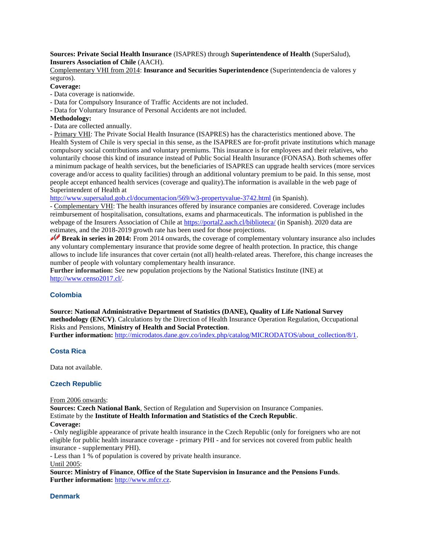## **Sources: Private Social Health Insurance** (ISAPRES) through **Superintendence of Health** (SuperSalud), **Insurers Association of Chile** (AACH).

Complementary VHI from 2014: **Insurance and Securities Superintendence** (Superintendencia de valores y seguros).

# **Coverage:**

- Data coverage is nationwide.
- Data for Compulsory Insurance of Traffic Accidents are not included.
- Data for Voluntary Insurance of Personal Accidents are not included.

# **Methodology:**

- Data are collected annually.

- Primary VHI: The Private Social Health Insurance (ISAPRES) has the characteristics mentioned above. The Health System of Chile is very special in this sense, as the ISAPRES are for-profit private institutions which manage compulsory social contributions and voluntary premiums. This insurance is for employees and their relatives, who voluntarily choose this kind of insurance instead of Public Social Health Insurance (FONASA). Both schemes offer a minimum package of health services, but the beneficiaries of ISAPRES can upgrade health services (more services coverage and/or access to quality facilities) through an additional voluntary premium to be paid. In this sense, most people accept enhanced health services (coverage and quality).The information is available in the web page of Superintendent of Health at

<http://www.supersalud.gob.cl/documentacion/569/w3-propertyvalue-3742.html> (in Spanish).

- Complementary VHI: The health insurances offered by insurance companies are considered. Coverage includes reimbursement of hospitalisation, consultations, exams and pharmaceuticals. The information is published in the webpage of the Insurers Association of Chile at<https://portal2.aach.cl/biblioteca/> (in Spanish). 2020 data are estimates, and the 2018-2019 growth rate has been used for those projections.

**Break in series in 2014:** From 2014 onwards, the coverage of complementary voluntary insurance also includes any voluntary complementary insurance that provide some degree of health protection. In practice, this change allows to include life insurances that cover certain (not all) health-related areas. Therefore, this change increases the number of people with voluntary complementary health insurance.

**Further information:** See new population projections by the National Statistics Institute (INE) at [http://www.censo2017.cl/.](http://www.censo2017.cl/)

# **Colombia**

**Source: National Administrative Department of Statistics (DANE), Quality of Life National Survey methodology (ENCV)**. Calculations by the Direction of Health Insurance Operation Regulation, Occupational Risks and Pensions, **Ministry of Health and Social Protection**.

**Further information:** [http://microdatos.dane.gov.co/index.php/catalog/MICRODATOS/about\\_collection/8/1.](http://microdatos.dane.gov.co/index.php/catalog/MICRODATOS/about_collection/8/1)

# **Costa Rica**

Data not available.

# **Czech Republic**

From 2006 onwards:

**Sources: Czech National Bank**, Section of Regulation and Supervision on Insurance Companies. Estimate by the **Institute of Health Information and Statistics of the Czech Republic**. **Coverage:**

- Only negligible appearance of private health insurance in the Czech Republic (only for foreigners who are not eligible for public health insurance coverage - primary PHI - and for services not covered from public health insurance - supplementary PHI).

- Less than 1 % of population is covered by private health insurance.

Until 2005:

**Source: Ministry of Finance**, **Office of the State Supervision in Insurance and the Pensions Funds**. **Further information:** [http://www.mfcr.cz.](http://www.mfcr.cz/)

# **Denmark**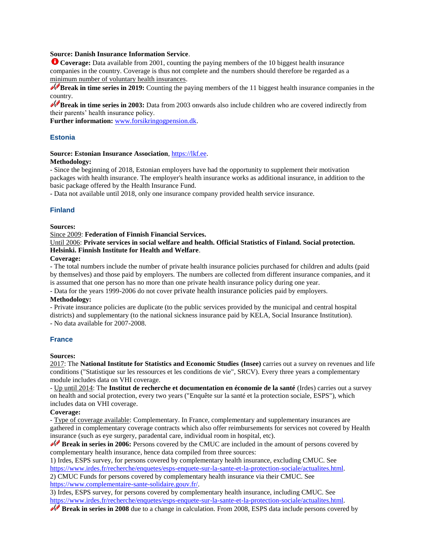# **Source: Danish Insurance Information Service**.

**Coverage:** Data available from 2001, counting the paying members of the 10 biggest health insurance companies in the country. Coverage is thus not complete and the numbers should therefore be regarded as a minimum number of voluntary health insurances.

**Break in time series in 2019:** Counting the paying members of the 11 biggest health insurance companies in the country.

**Break in time series in 2003:** Data from 2003 onwards also include children who are covered indirectly from their parents' health insurance policy.

**Further information:** [www.forsikringogpension.dk.](http://www.forsikringogpension.dk/)

# **Estonia**

#### **Source: Estonian Insurance Association**[, https://lkf.ee.](https://lkf.ee/)

#### **Methodology:**

- Since the beginning of 2018, Estonian employers have had the opportunity to supplement their motivation packages with health insurance. The employer's health insurance works as additional insurance, in addition to the basic package offered by the Health Insurance Fund.

- Data not available until 2018, only one insurance company provided health service insurance.

# **Finland**

# **Sources:**

#### Since 2009: **Federation of Finnish Financial Services.**

Until 2006: **Private services in social welfare and health. Official Statistics of Finland. Social protection. Helsinki. Finnish Institute for Health and Welfare**.

#### **Coverage:**

- The total numbers include the number of private health insurance policies purchased for children and adults (paid by themselves) and those paid by employers. The numbers are collected from different insurance companies, and it is assumed that one person has no more than one private health insurance policy during one year.

- Data for the years 1999-2006 do not cover private health insurance policies paid by employers.

#### **Methodology:**

- Private insurance policies are duplicate (to the public services provided by the municipal and central hospital districts) and supplementary (to the national sickness insurance paid by KELA, Social Insurance Institution). - No data available for 2007-2008.

# **France**

# **Sources:**

2017: The **National Institute for Statistics and Economic Studies (Insee)** carries out a survey on revenues and life conditions ("Statistique sur les ressources et les conditions de vie", SRCV). Every three years a complementary module includes data on VHI coverage.

- Up until 2014: The **Institut de recherche et documentation en économie de la santé** (Irdes) carries out a survey on health and social protection, every two years ("Enquête sur la santé et la protection sociale, ESPS"), which includes data on VHI coverage.

# **Coverage:**

- Type of coverage available: Complementary. In France, complementary and supplementary insurances are gathered in complementary coverage contracts which also offer reimbursements for services not covered by Health insurance (such as eye surgery, paradental care, individual room in hospital, etc).

**Break in series in 2006:** Persons covered by the CMUC are included in the amount of persons covered by complementary health insurance, hence data compiled from three sources:

1) Irdes, ESPS survey, for persons covered by complementary health insurance, excluding CMUC. See [https://www.irdes.fr/recherche/enquetes/esps-enquete-sur-la-sante-et-la-protection-sociale/actualites.html.](https://www.irdes.fr/recherche/enquetes/esps-enquete-sur-la-sante-et-la-protection-sociale/actualites.html)

2) CMUC Funds for persons covered by complementary health insurance via their CMUC. See [https://www.complementaire-sante-solidaire.gouv.fr/.](https://www.complementaire-sante-solidaire.gouv.fr/) 

3) Irdes, ESPS survey, for persons covered by complementary health insurance, including CMUC. See [https://www.irdes.fr/recherche/enquetes/esps-enquete-sur-la-sante-et-la-protection-sociale/actualites.html.](https://www.irdes.fr/recherche/enquetes/esps-enquete-sur-la-sante-et-la-protection-sociale/actualites.html)

**Break in series in 2008** due to a change in calculation. From 2008, ESPS data include persons covered by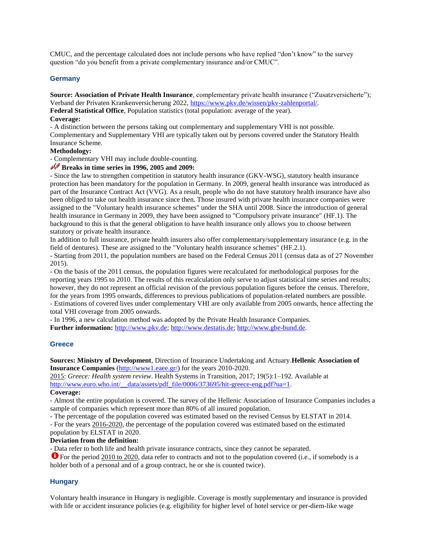CMUC, and the percentage calculated does not include persons who have replied "don't know" to the survey question "do you benefit from a private complementary insurance and/or CMUC".

#### **Germany**

**Source: Association of Private Health Insurance**, complementary private health insurance ("Zusatzversicherte"); Verband der Privaten Krankenversicherung 2022[, https://www.pkv.de/wissen/pkv-zahlenportal/.](https://www.pkv.de/wissen/pkv-zahlenportal/)

**Federal Statistical Office**, Population statistics (total population: average of the year).

#### **Coverage:**

- A distinction between the persons taking out complementary and supplementary VHI is not possible. Complementary and Supplementary VHI are typically taken out by persons covered under the Statutory Health Insurance Scheme.

### **Methodology:**

- Complementary VHI may include double-counting.

# **Breaks in time series in 1996, 2005 and 2009:**

- Since the law to strengthen competition in statutory health insurance (GKV-WSG), statutory health insurance protection has been mandatory for the population in Germany. In 2009, general health insurance was introduced as part of the Insurance Contract Act (VVG). As a result, people who do not have statutory health insurance have also been obliged to take out health insurance since then. Those insured with private health insurance companies were assigned to the "Voluntary health insurance schemes" under the SHA until 2008. Since the introduction of general health insurance in Germany in 2009, they have been assigned to "Compulsory private insurance" (HF.1). The background to this is that the general obligation to have health insurance only allows you to choose between statutory or private health insurance.

In addition to full insurance, private health insurers also offer complementary/supplementary insurance (e.g. in the field of dentures). These are assigned to the "Voluntary health insurance schemes" (HF.2.1).

- Starting from 2011, the population numbers are based on the Federal Census 2011 (census data as of 27 November 2015).

- On the basis of the 2011 census, the population figures were recalculated for methodological purposes for the reporting years 1995 to 2010. The results of this recalculation only serve to adjust statistical time series and results; however, they do not represent an official revision of the previous population figures before the census. Therefore, for the years from 1995 onwards, differences to previous publications of population-related numbers are possible. - Estimations of covered lives under complementary VHI are only available from 2005 onwards, hence affecting the

total VHI coverage from 2005 onwards.

- In 1996, a new calculation method was adopted by the Private Health Insurance Companies. **Further information:** [http://www.pkv.de;](http://www.pkv.de/) [http://www.destatis.de;](http://http/www.destatis.de) [http://www.gbe-bund.de.](http://www.gbe-bund.de/)

# **Greece**

#### **Sources: Ministry of Development**, Direction of Insurance Undertaking and Actuary.**Hellenic Association of Insurance Companies** [\(http://www1.eaee.gr/\)](http://www1.eaee.gr/) for the years 2010-2020.

2015: *Greece: Health system review*. Health Systems in Transition, 2017; 19(5):1–192. Available at http://www.euro.who.int/\_data/assets/pdf\_file/0006/373695/hit-greece-eng.pdf?ua=1.

#### **Coverage:**

- Almost the entire population is covered. The survey of the Hellenic Association of Insurance Companies includes a sample of companies which represent more than 80% of all insured population.

- The percentage of the population covered was estimated based on the revised Census by ELSTAT in 2014.

- For the years 2016-2020, the percentage of the population covered was estimated based on the estimated population by ELSTAT in 2020.

#### **Deviation from the definition:**

- Data refer to both life and health private insurance contracts, since they cannot be separated.

**O** For the period 2010 to 2020, data refer to contracts and not to the population covered (i.e., if somebody is a holder both of a personal and of a group contract, he or she is counted twice).

# **Hungary**

Voluntary health insurance in Hungary is negligible. Coverage is mostly supplementary and insurance is provided with life or accident insurance policies (e.g. eligibility for higher level of hotel service or per-diem-like wage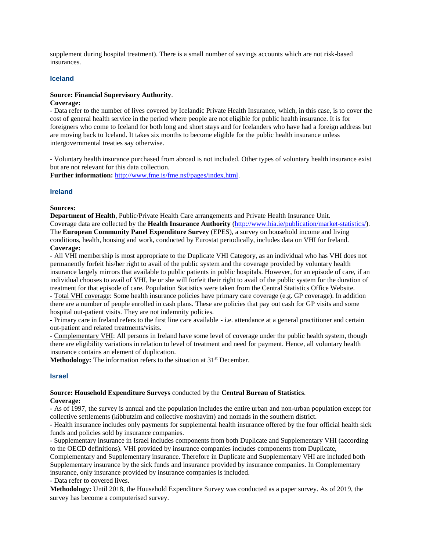supplement during hospital treatment). There is a small number of savings accounts which are not risk-based insurances.

#### **Iceland**

#### **Source: Financial Supervisory Authority**.

#### **Coverage:**

- Data refer to the number of lives covered by Icelandic Private Health Insurance, which, in this case, is to cover the cost of general health service in the period where people are not eligible for public health insurance. It is for foreigners who come to Iceland for both long and short stays and for Icelanders who have had a foreign address but are moving back to Iceland. It takes six months to become eligible for the public health insurance unless intergovernmental treaties say otherwise.

- Voluntary health insurance purchased from abroad is not included. Other types of voluntary health insurance exist but are not relevant for this data collection.

**Further information:** [http://www.fme.is/fme.nsf/pages/index.html.](http://www.fme.is/fme.nsf/pages/index.html)

#### **Ireland**

#### **Sources:**

**Department of Health**, Public/Private Health Care arrangements and Private Health Insurance Unit. Coverage data are collected by the **Health Insurance Authority** [\(http://www.hia.ie/publication/market-statistics/\)](http://www.hia.ie/publication/market-statistics/). The **European Community Panel Expenditure Survey** (EPES), a survey on household income and living conditions, health, housing and work, conducted by Eurostat periodically, includes data on VHI for Ireland. **Coverage:**

- All VHI membership is most appropriate to the Duplicate VHI Category, as an individual who has VHI does not permanently forfeit his/her right to avail of the public system and the coverage provided by voluntary health insurance largely mirrors that available to public patients in public hospitals. However, for an episode of care, if an individual chooses to avail of VHI, he or she will forfeit their right to avail of the public system for the duration of treatment for that episode of care. Population Statistics were taken from the Central Statistics Office Website. **-** Total VHI coverage: Some health insurance policies have primary care coverage (e.g. GP coverage). In addition there are a number of people enrolled in cash plans. These are policies that pay out cash for GP visits and some hospital out-patient visits. They are not indemnity policies.

- Primary care in Ireland refers to the first line care available - i.e. attendance at a general practitioner and certain out-patient and related treatments/visits.

- Complementary VHI: All persons in Ireland have some level of coverage under the public health system, though there are eligibility variations in relation to level of treatment and need for payment. Hence, all voluntary health insurance contains an element of duplication.

**Methodology:** The information refers to the situation at 31<sup>st</sup> December.

#### **Israel**

# **Source: Household Expenditure Surveys** conducted by the **Central Bureau of Statistics**.

# **Coverage:**

- As of 1997, the survey is annual and the population includes the entire urban and non-urban population except for collective settlements (kibbutzim and collective moshavim) and nomads in the southern district.

- Health insurance includes only payments for supplemental health insurance offered by the four official health sick funds and policies sold by insurance companies.

- Supplementary insurance in Israel includes components from both Duplicate and Supplementary VHI (according to the OECD definitions). VHI provided by insurance companies includes components from Duplicate,

Complementary and Supplementary insurance. Therefore in Duplicate and Supplementary VHI are included both Supplementary insurance by the sick funds and insurance provided by insurance companies. In Complementary insurance, only insurance provided by insurance companies is included.

- Data refer to covered lives.

**Methodology:** Until 2018, the Household Expenditure Survey was conducted as a paper survey. As of 2019, the survey has become a computerised survey.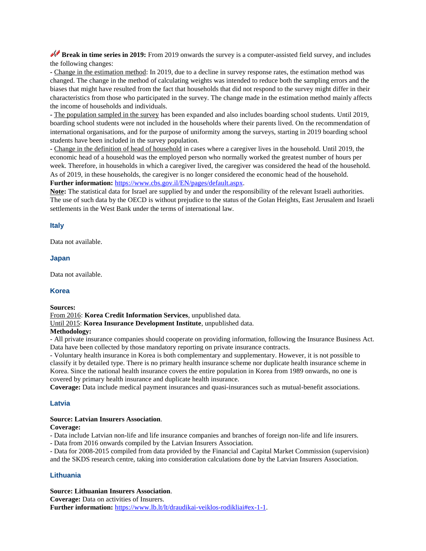**Break in time series in 2019:** From 2019 onwards the survey is a computer-assisted field survey, and includes the following changes:

**-** Change in the estimation method: In 2019, due to a decline in survey response rates, the estimation method was changed. The change in the method of calculating weights was intended to reduce both the sampling errors and the biases that might have resulted from the fact that households that did not respond to the survey might differ in their characteristics from those who participated in the survey. The change made in the estimation method mainly affects the income of households and individuals.

**-** The population sampled in the survey has been expanded and also includes boarding school students. Until 2019, boarding school students were not included in the households where their parents lived. On the recommendation of international organisations, and for the purpose of uniformity among the surveys, starting in 2019 boarding school students have been included in the survey population.

**-** Change in the definition of head of household in cases where a caregiver lives in the household. Until 2019, the economic head of a household was the employed person who normally worked the greatest number of hours per week. Therefore, in households in which a caregiver lived, the caregiver was considered the head of the household. As of 2019, in these households, the caregiver is no longer considered the economic head of the household. **Further information:** [https://www.cbs.gov.il/EN/pages/default.aspx.](https://www.cbs.gov.il/EN/pages/default.aspx)

**Note:** The statistical data for Israel are supplied by and under the responsibility of the relevant Israeli authorities. The use of such data by the OECD is without prejudice to the status of the Golan Heights, East Jerusalem and Israeli settlements in the West Bank under the terms of international law.

#### **Italy**

Data not available.

#### **Japan**

Data not available.

## **Korea**

#### **Sources:**

From 2016: **Korea Credit Information Services**, unpublished data.

Until 2015: **Korea Insurance Development Institute**, unpublished data.

#### **Methodology:**

- All private insurance companies should cooperate on providing information, following the Insurance Business Act. Data have been collected by those mandatory reporting on private insurance contracts.

- Voluntary health insurance in Korea is both complementary and supplementary. However, it is not possible to classify it by detailed type. There is no primary health insurance scheme nor duplicate health insurance scheme in Korea. Since the national health insurance covers the entire population in Korea from 1989 onwards, no one is covered by primary health insurance and duplicate health insurance.

**Coverage:** Data include medical payment insurances and quasi-insurances such as mutual-benefit associations.

# **Latvia**

#### **Source: Latvian Insurers Association**.

#### **Coverage:**

- Data include Latvian non-life and life insurance companies and branches of foreign non-life and life insurers.

- Data from 2016 onwards compiled by the Latvian Insurers Association.

- Data for 2008-2015 compiled from data provided by the Financial and Capital Market Commission (supervision) and the SKDS research centre, taking into consideration calculations done by the Latvian Insurers Association.

#### **Lithuania**

#### **Source: Lithuanian Insurers Association**.

**Coverage:** Data on activities of Insurers. Further information: [https://www.lb.lt/lt/draudikai-veiklos-rodikliai#ex-1-1.](https://www.lb.lt/lt/draudikai-veiklos-rodikliai#ex-1-1)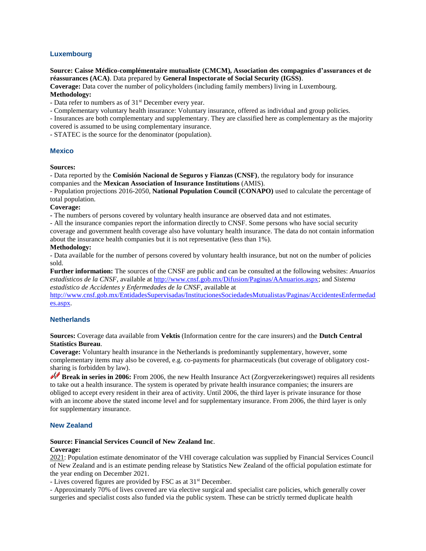# **Luxembourg**

#### **Source: Caisse Médico-complémentaire mutualiste (CMCM), Association des compagnies d'assurances et de réassurances (ACA)**. Data prepared by **General Inspectorate of Social Security (IGSS)**.

**Coverage:** Data cover the number of policyholders (including family members) living in Luxembourg.

# **Methodology:**

- Data refer to numbers as of 31<sup>st</sup> December every year.

- Complementary voluntary health insurance: Voluntary insurance, offered as individual and group policies.

- Insurances are both complementary and supplementary. They are classified here as complementary as the majority

covered is assumed to be using complementary insurance.

- STATEC is the source for the denominator (population).

# **Mexico**

#### **Sources:**

- Data reported by the **Comisión Nacional de Seguros y Fianzas (CNSF)**, the regulatory body for insurance companies and the **Mexican Association of Insurance Institutions** (AMIS).

- Population projections 2016-2050, **National Population Council (CONAPO)** used to calculate the percentage of total population.

# **Coverage:**

**-** The numbers of persons covered by voluntary health insurance are observed data and not estimates.

- All the insurance companies report the information directly to CNSF. Some persons who have social security coverage and government health coverage also have voluntary health insurance. The data do not contain information about the insurance health companies but it is not representative (less than 1%).

#### **Methodology:**

- Data available for the number of persons covered by voluntary health insurance, but not on the number of policies sold.

**Further information:** The sources of the CNSF are public and can be consulted at the following websites: *Anuarios estadísticos de la CNSF*, available at [http://www.cnsf.gob.mx/Difusion/Paginas/AAnuarios.aspx;](http://www.cnsf.gob.mx/Difusion/Paginas/AAnuarios.aspx) and *Sistema estadístico de Accidentes y Enfermedades de la CNSF*, available at

[http://www.cnsf.gob.mx/EntidadesSupervisadas/InstitucionesSociedadesMutualistas/Paginas/AccidentesEnfermedad](http://www.cnsf.gob.mx/EntidadesSupervisadas/InstitucionesSociedadesMutualistas/Paginas/AccidentesEnfermedades.aspx) [es.aspx.](http://www.cnsf.gob.mx/EntidadesSupervisadas/InstitucionesSociedadesMutualistas/Paginas/AccidentesEnfermedades.aspx)

# **Netherlands**

**Sources:** Coverage data available from **Vektis** (Information centre for the care insurers) and the **Dutch Central Statistics Bureau**.

**Coverage:** Voluntary health insurance in the Netherlands is predominantly supplementary, however, some complementary items may also be covered, e.g. co-payments for pharmaceuticals (but coverage of obligatory costsharing is forbidden by law).

**Break in series in 2006:** From 2006, the new Health Insurance Act (Zorgverzekeringswet) requires all residents to take out a health insurance. The system is operated by private health insurance companies; the insurers are obliged to accept every resident in their area of activity. Until 2006, the third layer is private insurance for those with an income above the stated income level and for supplementary insurance. From 2006, the third layer is only for supplementary insurance.

# **New Zealand**

# **Source: Financial Services Council of New Zealand Inc**.

# **Coverage:**

2021: Population estimate denominator of the VHI coverage calculation was supplied by Financial Services Council of New Zealand and is an estimate pending release by Statistics New Zealand of the official population estimate for the year ending on December 2021.

- Lives covered figures are provided by FSC as at 31<sup>st</sup> December.

- Approximately 70% of lives covered are via elective surgical and specialist care policies, which generally cover surgeries and specialist costs also funded via the public system. These can be strictly termed duplicate health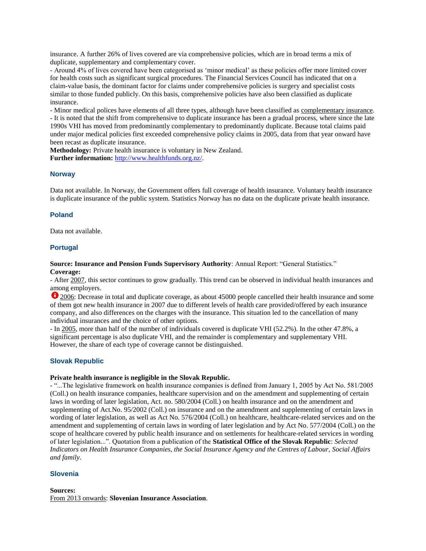insurance. A further 26% of lives covered are via comprehensive policies, which are in broad terms a mix of duplicate, supplementary and complementary cover.

- Around 4% of lives covered have been categorised as 'minor medical' as these policies offer more limited cover for health costs such as significant surgical procedures. The Financial Services Council has indicated that on a claim-value basis, the dominant factor for claims under comprehensive policies is surgery and specialist costs similar to those funded publicly. On this basis, comprehensive policies have also been classified as duplicate insurance.

- Minor medical polices have elements of all three types, although have been classified as complementary insurance. - It is noted that the shift from comprehensive to duplicate insurance has been a gradual process, where since the late 1990s VHI has moved from predominantly complementary to predominantly duplicate. Because total claims paid under major medical policies first exceeded comprehensive policy claims in 2005, data from that year onward have been recast as duplicate insurance.

**Methodology:** Private health insurance is voluntary in New Zealand. **Further information:** [http://www.healthfunds.org.nz/.](http://www.healthfunds.org.nz/)

# **Norway**

Data not available. In Norway, the Government offers full coverage of health insurance. Voluntary health insurance is duplicate insurance of the public system. Statistics Norway has no data on the duplicate private health insurance.

#### **Poland**

Data not available.

# **Portugal**

**Source: Insurance and Pension Funds Supervisory Authority**: Annual Report: "General Statistics." **Coverage:**

- After 2007, this sector continues to grow gradually. This trend can be observed in individual health insurances and among employers.

2006: Decrease in total and duplicate coverage, as about 45000 people cancelled their health insurance and some of them got new health insurance in 2007 due to different levels of health care provided/offered by each insurance company, and also differences on the charges with the insurance. This situation led to the cancellation of many individual insurances and the choice of other options.

- In 2005, more than half of the number of individuals covered is duplicate VHI (52.2%). In the other 47.8%, a significant percentage is also duplicate VHI, and the remainder is complementary and supplementary VHI. However, the share of each type of coverage cannot be distinguished.

# **Slovak Republic**

#### **Private health insurance is negligible in the Slovak Republic.**

- "...The legislative framework on health insurance companies is defined from January 1, 2005 by Act No. 581/2005 (Coll.) on health insurance companies, healthcare supervision and on the amendment and supplementing of certain laws in wording of later legislation, Act. no. 580/2004 (Coll.) on health insurance and on the amendment and supplementing of Act.No. 95/2002 (Coll.) on insurance and on the amendment and supplementing of certain laws in wording of later legislation, as well as Act No. 576/2004 (Coll.) on healthcare, healthcare-related services and on the amendment and supplementing of certain laws in wording of later legislation and by Act No. 577/2004 (Coll.) on the scope of healthcare covered by public health insurance and on settlements for healthcare-related services in wording of later legislation...". Quotation from a publication of the **Statistical Office of the Slovak Republic**: *Selected Indicators on Health Insurance Companies, the Social Insurance Agency and the Centres of Labour, Social Affairs and family*.

#### **Slovenia**

**Sources:**  From 2013 onwards: **Slovenian Insurance Association**.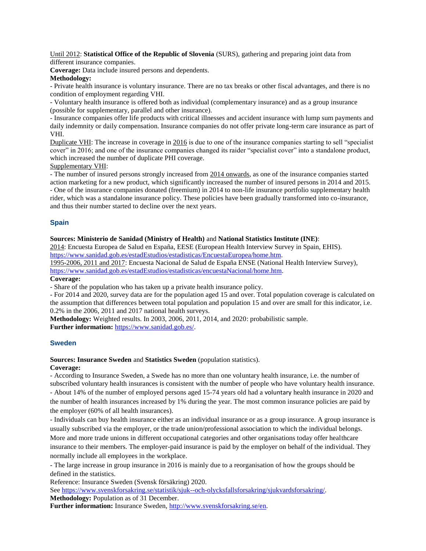Until 2012: **Statistical Office of the Republic of Slovenia** (SURS), gathering and preparing joint data from different insurance companies.

**Coverage:** Data include insured persons and dependents.

# **Methodology:**

- Private health insurance is voluntary insurance. There are no tax breaks or other fiscal advantages, and there is no condition of employment regarding VHI.

- Voluntary health insurance is offered both as individual (complementary insurance) and as a group insurance (possible for supplementary, parallel and other insurance).

- Insurance companies offer life products with critical illnesses and accident insurance with lump sum payments and daily indemnity or daily compensation. Insurance companies do not offer private long-term care insurance as part of VHI.

Duplicate VHI: The increase in coverage in 2016 is due to one of the insurance companies starting to sell "specialist cover" in 2016; and one of the insurance companies changed its raider "specialist cover" into a standalone product, which increased the number of duplicate PHI coverage.

Supplementary VHI:

- The number of insured persons strongly increased from 2014 onwards, as one of the insurance companies started action marketing for a new product, which significantly increased the number of insured persons in 2014 and 2015. - One of the insurance companies donated (freemium) in 2014 to non-life insurance portfolio supplementary health rider, which was a standalone insurance policy. These policies have been gradually transformed into co-insurance, and thus their number started to decline over the next years.

# **Spain**

# **Sources: Ministerio de Sanidad (Ministry of Health)** and **National Statistics Institute (INE)**:

2014: Encuesta Europea de Salud en España, EESE (European Health Interview Survey in Spain, EHIS). [https://www.sanidad.gob.es/estadEstudios/estadisticas/EncuestaEuropea/home.htm.](https://www.mscbs.gob.es/estadEstudios/estadisticas/EncuestaEuropea/home.htm)

1995-2006, 2011 and 2017: Encuesta Nacional de Salud de España ENSE (National Health Interview Survey), [https://www.sanidad.gob.es/estadEstudios/estadisticas/encuestaNacional/home.htm.](https://www.mscbs.gob.es/estadEstudios/estadisticas/encuestaNacional/home.htm)

# **Coverage:**

- Share of the population who has taken up a private health insurance policy.

- For 2014 and 2020, survey data are for the population aged 15 and over. Total population coverage is calculated on the assumption that differences between total population and population 15 and over are small for this indicator, i.e. 0.2% in the 2006, 2011 and 2017 national health surveys.

**Methodology:** Weighted results. In 2003, 2006, 2011, 2014, and 2020: probabilistic sample.

**Further information:** [https://www.sanidad.gob.es/.](https://www.sanidad.gob.es/)

# **Sweden**

# **Sources: Insurance Sweden** and **Statistics Sweden** (population statistics).

# **Coverage:**

- According to Insurance Sweden, a Swede has no more than one voluntary health insurance, i.e. the number of subscribed voluntary health insurances is consistent with the number of people who have voluntary health insurance. - About 14% of the number of employed persons aged 15-74 years old had a voluntary health insurance in 2020 and the number of health insurances increased by 1% during the year. The most common insurance policies are paid by the employer (60% of all health insurances).

- Individuals can buy health insurance either as an individual insurance or as a group insurance. A group insurance is usually subscribed via the employer, or the trade union/professional association to which the individual belongs.

More and more trade unions in different occupational categories and other organisations today offer healthcare insurance to their members. The employer-paid insurance is paid by the employer on behalf of the individual. They normally include all employees in the workplace.

- The large increase in group insurance in 2016 is mainly due to a reorganisation of how the groups should be defined in the statistics.

Reference: Insurance Sweden (Svensk försäkring) 2020.

See [https://www.svenskforsakring.se/statistik/sjuk--och-olycksfallsforsakring/sjukvardsforsakring/.](https://www.svenskforsakring.se/statistik/sjuk--och-olycksfallsforsakring/sjukvardsforsakring/)

**Methodology:** Population as of 31 December.

**Further information:** Insurance Sweden, [http://www.svenskforsakring.se/en.](http://www.svenskforsakring.se/en)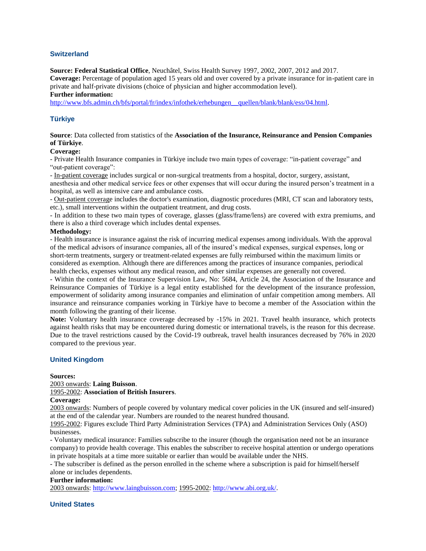# **Switzerland**

**Source: Federal Statistical Office**, Neuchâtel, Swiss Health Survey 1997, 2002, 2007, 2012 and 2017.

**Coverage:** Percentage of population aged 15 years old and over covered by a private insurance for in-patient care in private and half-private divisions (choice of physician and higher accommodation level).

#### **Further information:**

[http://www.bfs.admin.ch/bfs/portal/fr/index/infothek/erhebungen\\_\\_quellen/blank/blank/ess/04.html.](http://www.bfs.admin.ch/bfs/portal/fr/index/infothek/erhebungen__quellen/blank/blank/ess/04.html)

# **Türkiye**

**Source**: Data collected from statistics of the **Association of the Insurance, Reinsurance and Pension Companies of Türkiye**.

### **Coverage:**

- Private Health Insurance companies in Türkiye include two main types of coverage: ["in-patient](http://www.pacificprime.com/plans/information/inpatient.php) coverage" and "out-patient coverage":

- In-patient coverage includes surgical or non-surgical treatments from a hospital, doctor, surgery, assistant,

anesthesia and other medical service fees or other expenses that will occur during the insured person's treatment in a hospital, as well as intensive care and ambulance costs.

- Out-patient coverage includes the doctor's examination, diagnostic procedures (MRI, CT scan and laboratory tests, etc.), small interventions within the outpatient treatment, and drug costs.

- In addition to these two main types of coverage, glasses (glass/frame/lens) are covered with extra premiums, and there is also a third coverage which includes dental expenses.

#### **Methodology:**

- Health insurance is [insurance](http://en.wikipedia.org/wiki/Insurance) against the risk of incurring medical expenses among individuals. With the approval of the medical advisors of insurance companies, all of the insured's medical expenses, surgical expenses, long or short-term treatments, surgery or treatment-related expenses are fully reimbursed within the maximum limits or considered as exemption. Although there are differences among the practices of insurance companies, periodical health checks, expenses without any medical reason, and other similar expenses are generally not covered.

- Within the context of the Insurance Supervision Law, No: 5684, Article 24, the Association of the Insurance and Reinsurance Companies of Türkiye is a legal entity established for the development of the insurance profession, empowerment of solidarity among insurance companies and elimination of unfair competition among members. All insurance and reinsurance companies working in Türkiye have to become a member of the Association within the month following the granting of their license.

**Note:** Voluntary health insurance coverage decreased by -15% in 2021. Travel health insurance, which protects against health risks that may be encountered during domestic or international travels, is the reason for this decrease. Due to the travel restrictions caused by the Covid-19 outbreak, travel health insurances decreased by 76% in 2020 compared to the previous year.

# **United Kingdom**

#### **Sources:**

2003 onwards: **Laing Buisson**.

# 1995-2002: **Association of British Insurers**.

#### **Coverage:**

2003 onwards: Numbers of people covered by voluntary medical cover policies in the UK (insured and self-insured) at the end of the calendar year. Numbers are rounded to the nearest hundred thousand.

1995-2002: Figures exclude Third Party Administration Services (TPA) and Administration Services Only (ASO) businesses.

- Voluntary medical insurance: Families subscribe to the insurer (though the organisation need not be an insurance company) to provide health coverage. This enables the subscriber to receive hospital attention or undergo operations in private hospitals at a time more suitable or earlier than would be available under the NHS.

- The subscriber is defined as the person enrolled in the scheme where a subscription is paid for himself/herself alone or includes dependents.

#### **Further information:**

2003 onwards[: http://www.laingbuisson.com;](http://www.laingbuisson.com/) 1995-2002: [http://www.abi.org.uk/.](http://www.abi.org.uk/) 

# **United States**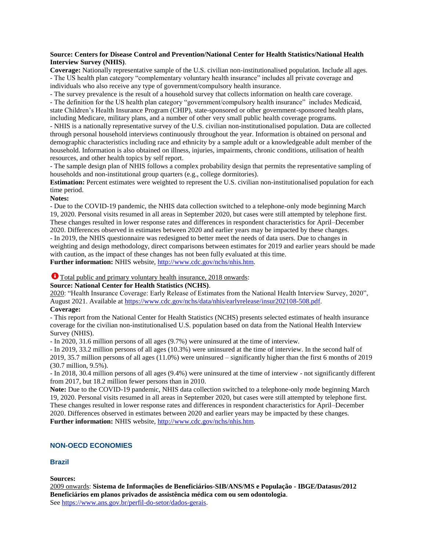# **Source: Centers for Disease Control and Prevention/National Center for Health Statistics/National Health Interview Survey (NHIS)**.

**Coverage:** Nationally representative sample of the U.S. civilian non-institutionalised population. Include all ages. - The US health plan category "complementary voluntary health insurance" includes all private coverage and individuals who also receive any type of government/compulsory health insurance.

- The survey prevalence is the result of a household survey that collects information on health care coverage.

- The definition for the US health plan category "government/compulsory health insurance" includes Medicaid, state Children's Health Insurance Program (CHIP), state-sponsored or other government-sponsored health plans, including Medicare, military plans, and a number of other very small public health coverage programs.

- NHIS is a nationally representative survey of the U.S. civilian non-institutionalised population. Data are collected through personal household interviews continuously throughout the year. Information is obtained on personal and demographic characteristics including race and ethnicity by a sample adult or a knowledgeable adult member of the household. Information is also obtained on illness, injuries, impairments, chronic conditions, utilisation of health resources, and other health topics by self report.

- The sample design plan of NHIS follows a complex probability design that permits the representative sampling of households and non-institutional group quarters (e.g., college dormitories).

**Estimation:** Percent estimates were weighted to represent the U.S. civilian non-institutionalised population for each time period.

#### **Notes:**

- Due to the COVID-19 pandemic, the NHIS data collection switched to a telephone-only mode beginning March 19, 2020. Personal visits resumed in all areas in September 2020, but cases were still attempted by telephone first. These changes resulted in lower response rates and differences in respondent characteristics for April–December 2020. Differences observed in estimates between 2020 and earlier years may be impacted by these changes. - In 2019, the NHIS questionnaire was redesigned to better meet the needs of data users. Due to changes in weighting and design methodology, direct comparisons between estimates for 2019 and earlier years should be made with caution, as the impact of these changes has not been fully evaluated at this time.

**Further information:** NHIS website[, http://www.cdc.gov/nchs/nhis.htm.](http://www.cdc.gov/nchs/nhis.htm)

# Total public and primary voluntary health insurance, 2018 onwards:

# **Source: National Center for Health Statistics (NCHS)**.

2020: "Health Insurance Coverage: Early Release of Estimates from the National Health Interview Survey, 2020", August 2021. Available at [https://www.cdc.gov/nchs/data/nhis/earlyrelease/insur202108-508.pdf.](https://www.cdc.gov/nchs/data/nhis/earlyrelease/insur202108-508.pdf) **Coverage:**

#### - This report from the National Center for Health Statistics (NCHS) presents selected estimates of health insurance coverage for the civilian non-institutionalised U.S. population based on data from the National Health Interview Survey (NHIS).

- In 2020, 31.6 million persons of all ages (9.7%) were uninsured at the time of interview.

- In 2019, 33.2 million persons of all ages (10.3%) were uninsured at the time of interview. In the second half of 2019, 35.7 million persons of all ages (11.0%) were uninsured – significantly higher than the first 6 months of 2019 (30.7 million, 9.5%).

- In 2018, 30.4 million persons of all ages (9.4%) were uninsured at the time of interview - not significantly different from 2017, but 18.2 million fewer persons than in 2010.

**Note:** Due to the COVID-19 pandemic, NHIS data collection switched to a telephone-only mode beginning March 19, 2020. Personal visits resumed in all areas in September 2020, but cases were still attempted by telephone first. These changes resulted in lower response rates and differences in respondent characteristics for April–December 2020. Differences observed in estimates between 2020 and earlier years may be impacted by these changes. Further information: NHIS website[, http://www.cdc.gov/nchs/nhis.htm.](http://www.cdc.gov/nchs/nhis.htm)

# **NON-OECD ECONOMIES**

# **Brazil**

**Sources:** 

2009 onwards: **Sistema de Informações de Beneficiários-SIB/ANS/MS e População - IBGE/Datasus/2012 Beneficiários em planos privados de assistência médica com ou sem odontologia**. See [https://www.ans.gov.br/perfil-do-setor/dados-gerais.](https://www.ans.gov.br/perfil-do-setor/dados-gerais)